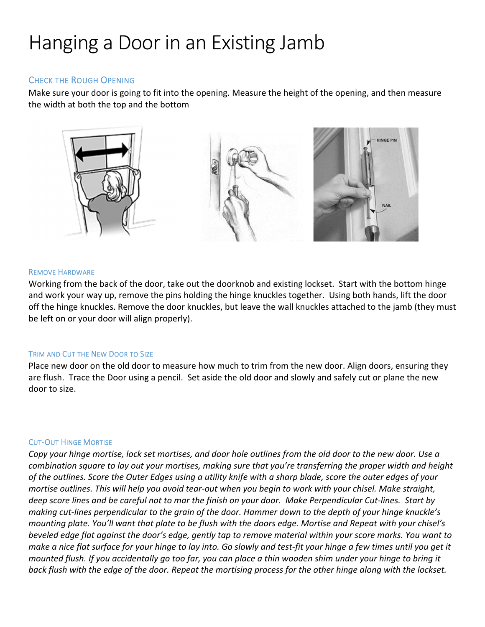# Hanging a Door in an Existing Jamb

## CHECK THE ROUGH OPENING

Make sure your door is going to fit into the opening. Measure the height of the opening, and then measure the width at both the top and the bottom



## REMOVE HARDWARE

Working from the back of the door, take out the doorknob and existing lockset. Start with the bottom hinge and work your way up, remove the pins holding the hinge knuckles together. Using both hands, lift the door off the hinge knuckles. Remove the door knuckles, but leave the wall knuckles attached to the jamb (they must be left on or your door will align properly).

## TRIM AND CUT THE NEW DOOR TO SIZE

Place new door on the old door to measure how much to trim from the new door. Align doors, ensuring they are flush. Trace the Door using a pencil. Set aside the old door and slowly and safely cut or plane the new door to size.

## CUT‐OUT HINGE MORTISE

Copy your hinge mortise, lock set mortises, and door hole outlines from the old door to the new door. Use a combination square to lay out your mortises, making sure that you're transferring the proper width and height of the outlines. Score the Outer Edges using a utility knife with a sharp blade, score the outer edges of your mortise outlines. This will help you avoid tear-out when you begin to work with your chisel. Make straight, deep score lines and be careful not to mar the finish on your door. Make Perpendicular Cut-lines. Start by making cut-lines perpendicular to the grain of the door. Hammer down to the depth of your hinge knuckle's mounting plate. You'll want that plate to be flush with the doors edge. Mortise and Repeat with your chisel's beveled edge flat against the door's edge, gently tap to remove material within your score marks. You want to make a nice flat surface for your hinge to lay into. Go slowly and test-fit your hinge a few times until you get it mounted flush. If you accidentally go too far, you can place a thin wooden shim under your hinge to bring it back flush with the edge of the door. Repeat the mortising process for the other hinge along with the lockset.